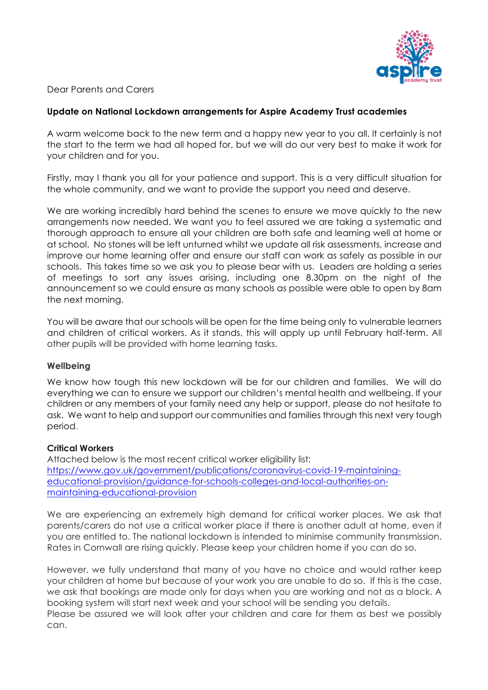

Dear Parents and Carers

# **Update on National Lockdown arrangements for Aspire Academy Trust academies**

A warm welcome back to the new term and a happy new year to you all. It certainly is not the start to the term we had all hoped for, but we will do our very best to make it work for your children and for you.

Firstly, may I thank you all for your patience and support. This is a very difficult situation for the whole community, and we want to provide the support you need and deserve.

We are working incredibly hard behind the scenes to ensure we move quickly to the new arrangements now needed. We want you to feel assured we are taking a systematic and thorough approach to ensure all your children are both safe and learning well at home or at school. No stones will be left unturned whilst we update all risk assessments, increase and improve our home learning offer and ensure our staff can work as safely as possible in our schools. This takes time so we ask you to please bear with us. Leaders are holding a series of meetings to sort any issues arising, including one 8.30pm on the night of the announcement so we could ensure as many schools as possible were able to open by 8am the next morning.

You will be aware that our schools will be open for the time being only to vulnerable learners and children of critical workers. As it stands, this will apply up until February half-term. All other pupils will be provided with home learning tasks.

## **Wellbeing**

We know how tough this new lockdown will be for our children and families. We will do everything we can to ensure we support our children's mental health and wellbeing. If your children or any members of your family need any help or support, please do not hesitate to ask. We want to help and support our communities and families through this next very tough period.

#### **Critical Workers**

Attached below is the most recent critical worker eligibility list: https://www.gov.uk/government/publications/coronavirus-covid-19-maintainingeducational-provision/guidance-for-schools-colleges-and-local-authorities-onmaintaining-educational-provision

We are experiencing an extremely high demand for critical worker places. We ask that parents/carers do not use a critical worker place if there is another adult at home, even if you are entitled to. The national lockdown is intended to minimise community transmission. Rates in Cornwall are rising quickly. Please keep your children home if you can do so.

However, we fully understand that many of you have no choice and would rather keep your children at home but because of your work you are unable to do so. If this is the case, we ask that bookings are made only for days when you are working and not as a block. A booking system will start next week and your school will be sending you details. Please be assured we will look after your children and care for them as best we possibly can.